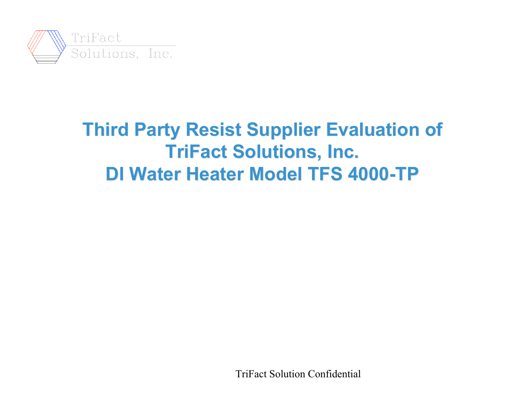

# **Third Party Resist Supplier Evaluation of TriFact Solutions, Inc. DI Water Heater Model TFS 4000-TP**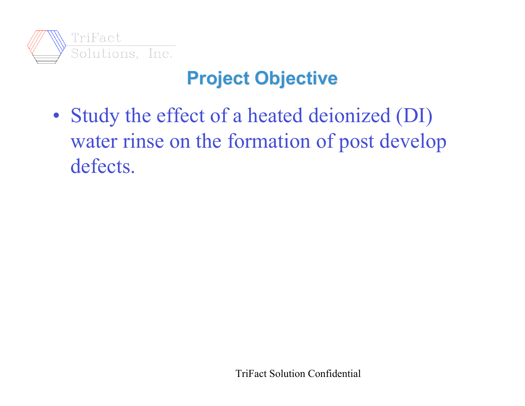

# **Project Objective**

• Study the effect of a heated deionized (DI) water rinse on the formation of post develop defects.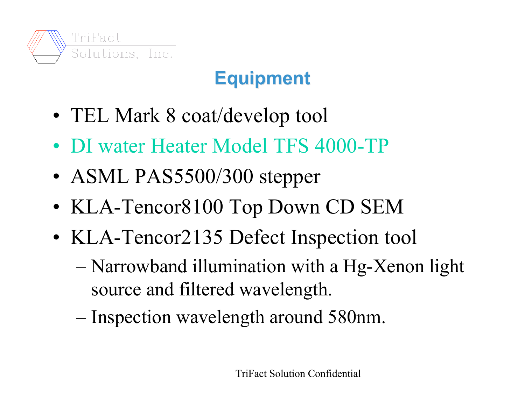

# **Equipment**

- TEL Mark 8 coat/develop tool
- DI water Heater Model TFS 4000-TP
- ASML PAS5500/300 stepper
- KLA-Tencor8100 Top Down CD SEM
- KLA-Tencor2135 Defect Inspection tool
	- Narrowband illumination with a Hg-Xenon light source and filtered wavelength.
	- Inspection wavelength around 580nm.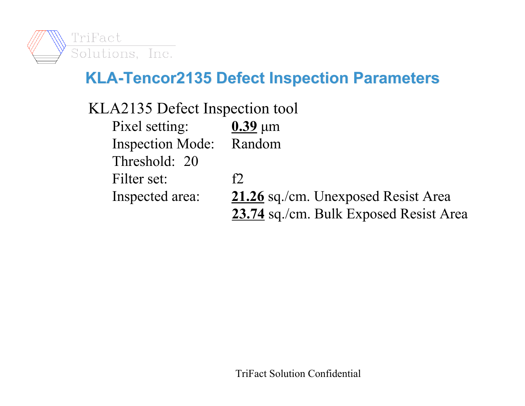

#### **KLA-Tencor2135 Defect Inspection Parameters KLA-Tencor2135 Defect Inspection Parameters**

- KLA2135 Defect Inspection tool
	- Pixel setting:  $0.39 \text{ }\mu\text{m}$ Inspection Mode: Random Threshold: 20 Filter set: f2 Inspected area: **21.26** sq./cm. Unexposed Resist Area **23.74** sq./cm. Bulk Exposed Resist Area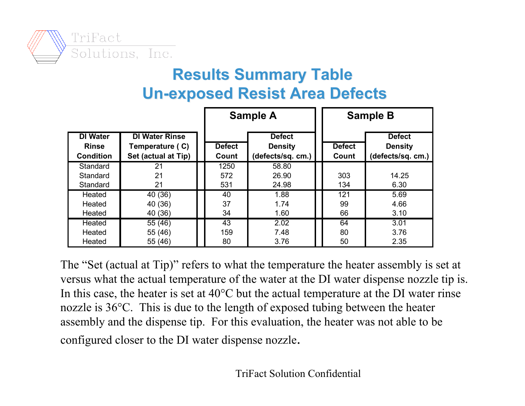

#### **Results Summary Table Results Summary Table Un-exposed Resist Area Defects exposed Resist Area Defects**

|                                                     |                                                                 | <b>Sample A</b>        |                                                      | <b>Sample B</b>        |                                                      |
|-----------------------------------------------------|-----------------------------------------------------------------|------------------------|------------------------------------------------------|------------------------|------------------------------------------------------|
| <b>DI Water</b><br><b>Rinse</b><br><b>Condition</b> | <b>DI Water Rinse</b><br>Temperature (C)<br>Set (actual at Tip) | <b>Defect</b><br>Count | <b>Defect</b><br><b>Density</b><br>(defects/sq. cm.) | <b>Defect</b><br>Count | <b>Defect</b><br><b>Density</b><br>(defects/sq. cm.) |
| Standard<br>Standard<br>Standard                    | 21<br>21<br>21                                                  | 1250<br>572<br>531     | 58.80<br>26.90<br>24.98                              | 303<br>134             | 14.25<br>6.30                                        |
| Heated<br>Heated<br>Heated                          | 40 (36)<br>40 (36)<br>40 (36)                                   | 40<br>37<br>34         | 1.88<br>1.74<br>1.60                                 | 121<br>99<br>66        | 5.69<br>4.66<br>3.10                                 |
| Heated<br>Heated<br>Heated                          | 55 (46)<br>55 (46)<br>55 (46)                                   | 43<br>159<br>80        | 2.02<br>7.48<br>3.76                                 | 64<br>80<br>50         | 3.01<br>3.76<br>2.35                                 |

The "Set (actual at Tip)" refers to what the temperature the heater assembly is set at versus what the actual temperature of the water at the DI water dispense nozzle tip is. In this case, the heater is set at  $40^{\circ}$ C but the actual temperature at the DI water rinse nozzle is 36°C. This is due to the length of exposed tubing between the heater assembly and the dispense tip. For this evaluation, the heater was not able to be configured closer to the DI water dispense nozzle.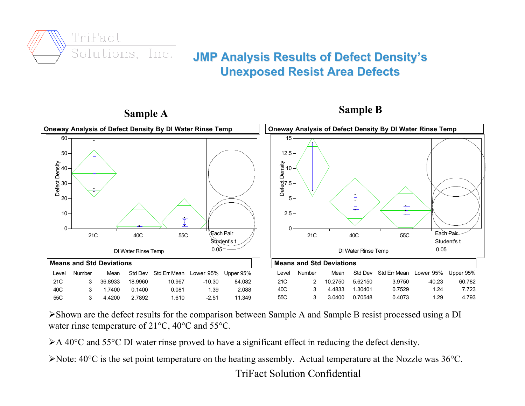

#### **JMP Analysis Results of Defect Density JMP Analysis Results of Defect Density's Unexposed Resist Area Defects Unexposed Resist Area Defects**



**Sample A Sample B**

Shown are the defect results for the comparison between Sample A and Sample B resist processed using a DI water rinse temperature of 21°C, 40°C and 55°C.

≻A 40°C and 55°C DI water rinse proved to have a significant effect in reducing the defect density.

Note: 40°C is the set point temperature on the heating assembly. Actual temperature at the Nozzle was 36°C.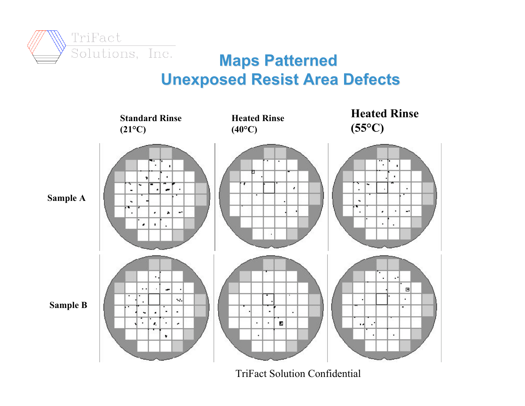

#### **Maps Patterned Maps Patterned Unexposed Resist Area Defects**

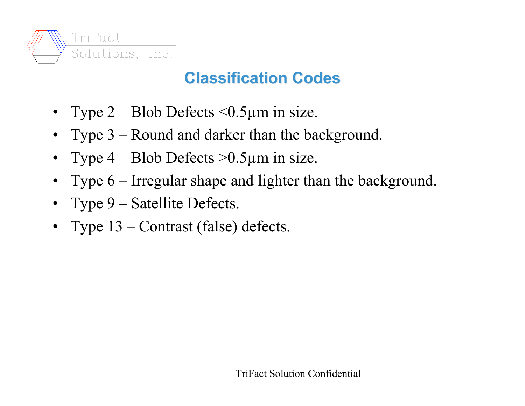

### **Classification Codes Classification Codes**

- Type  $2 \text{Blob Defects} \leq 0.5 \mu \text{m}$  in size.
- Type 3 Round and darker than the background.
- Type  $4 \text{Blob Defects} > 0.5 \mu \text{m}$  in size.
- Type 6 Irregular shape and lighter than the background.
- Type 9 Satellite Defects.
- Type  $13$  Contrast (false) defects.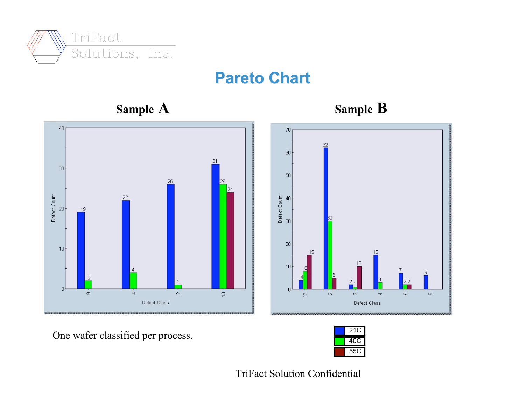

#### **Pareto Chart**









One wafer classified per process.

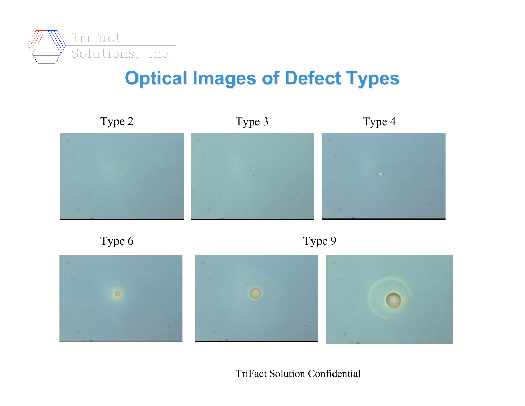

# **Optical Images of Defect Types**